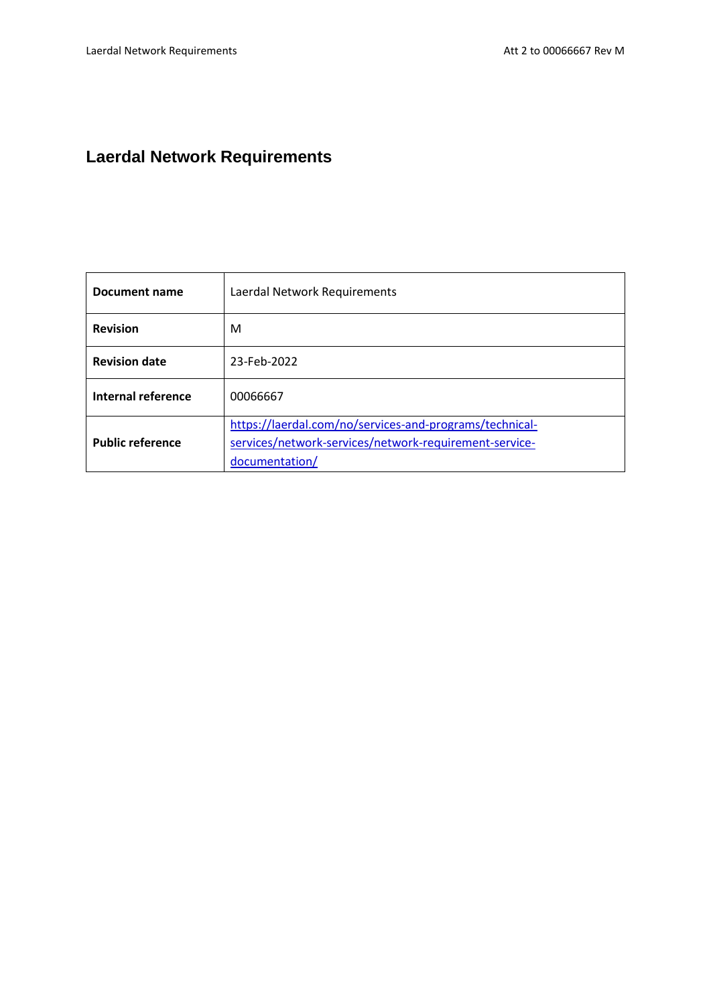# **Laerdal Network Requirements**

| Document name           | Laerdal Network Requirements                                                                                                        |  |  |
|-------------------------|-------------------------------------------------------------------------------------------------------------------------------------|--|--|
| <b>Revision</b>         | M                                                                                                                                   |  |  |
| <b>Revision date</b>    | 23-Feb-2022                                                                                                                         |  |  |
| Internal reference      | 00066667                                                                                                                            |  |  |
| <b>Public reference</b> | https://laerdal.com/no/services-and-programs/technical-<br>services/network-services/network-requirement-service-<br>documentation/ |  |  |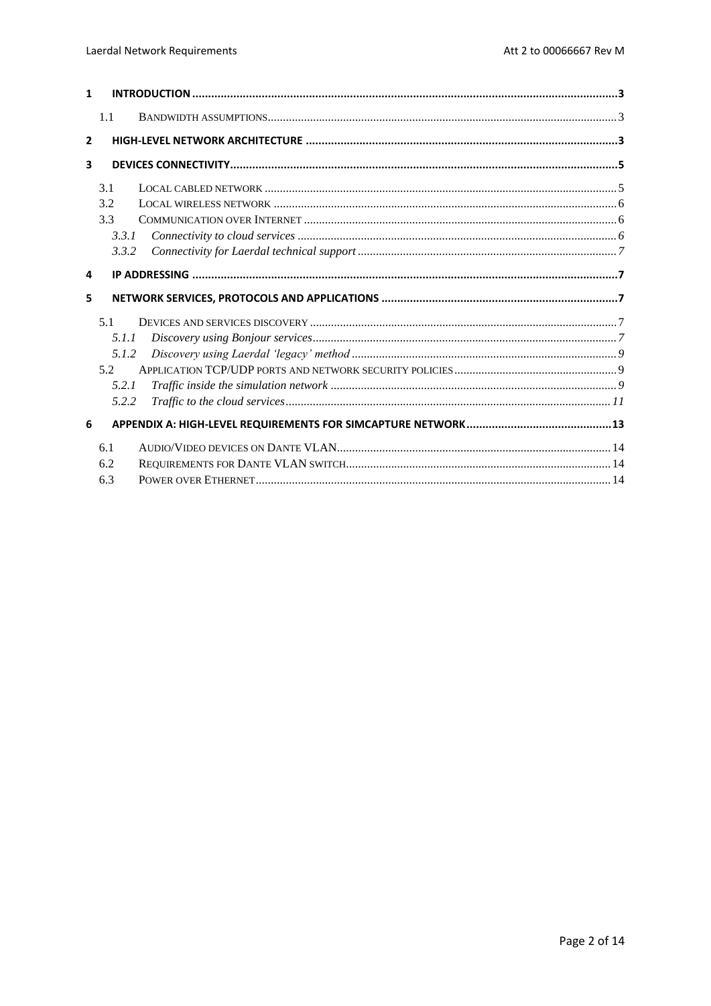| 1              |                   |  |
|----------------|-------------------|--|
|                | 1.1               |  |
| $\overline{2}$ |                   |  |
| 3              |                   |  |
|                | 3.1<br>3.2<br>3.3 |  |
|                | 3.3.1             |  |
|                | 3.3.2             |  |
| 4              |                   |  |
| 5              |                   |  |
|                | 5.1               |  |
|                | 5.1.1             |  |
|                | 5.1.2             |  |
|                | 5.2               |  |
|                | 5.2.1             |  |
|                | 5.2.2             |  |
| 6              |                   |  |
|                | 6.1<br>6.2<br>6.3 |  |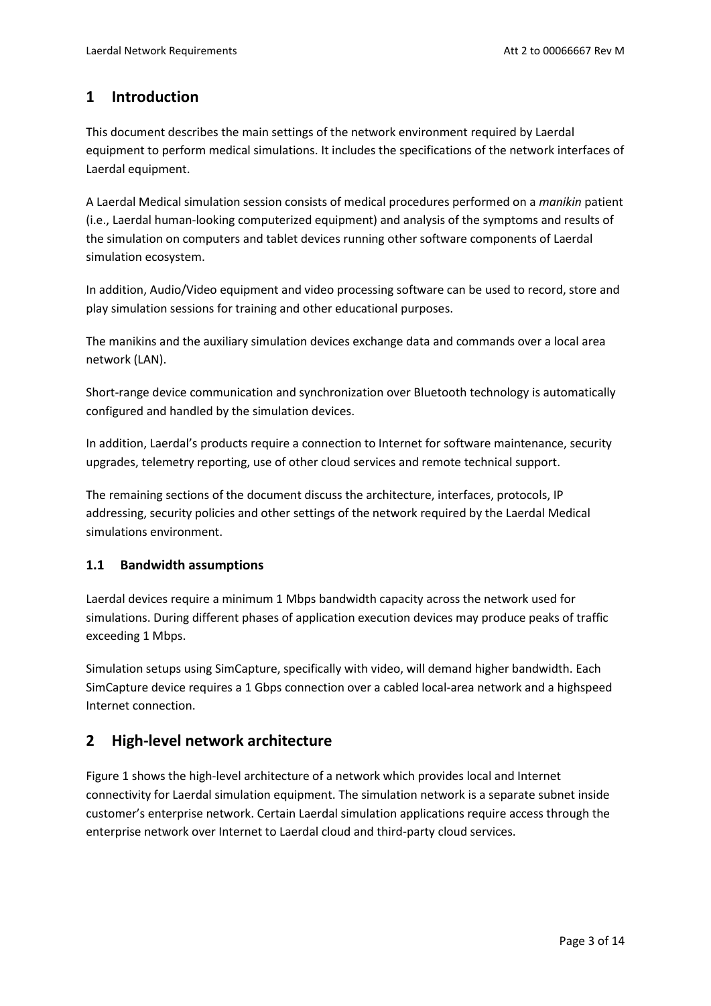# <span id="page-2-0"></span>**1 Introduction**

This document describes the main settings of the network environment required by Laerdal equipment to perform medical simulations. It includes the specifications of the network interfaces of Laerdal equipment.

A Laerdal Medical simulation session consists of medical procedures performed on a *manikin* patient (i.e., Laerdal human-looking computerized equipment) and analysis of the symptoms and results of the simulation on computers and tablet devices running other software components of Laerdal simulation ecosystem.

In addition, Audio/Video equipment and video processing software can be used to record, store and play simulation sessions for training and other educational purposes.

The manikins and the auxiliary simulation devices exchange data and commands over a local area network (LAN).

Short-range device communication and synchronization over Bluetooth technology is automatically configured and handled by the simulation devices.

In addition, Laerdal's products require a connection to Internet for software maintenance, security upgrades, telemetry reporting, use of other cloud services and remote technical support.

The remaining sections of the document discuss the architecture, interfaces, protocols, IP addressing, security policies and other settings of the network required by the Laerdal Medical simulations environment.

#### <span id="page-2-1"></span>**1.1 Bandwidth assumptions**

Laerdal devices require a minimum 1 Mbps bandwidth capacity across the network used for simulations. During different phases of application execution devices may produce peaks of traffic exceeding 1 Mbps.

Simulation setups using SimCapture, specifically with video, will demand higher bandwidth. Each SimCapture device requires a 1 Gbps connection over a cabled local-area network and a highspeed Internet connection.

# <span id="page-2-2"></span>**2 High-level network architecture**

Figure 1 shows the high-level architecture of a network which provides local and Internet connectivity for Laerdal simulation equipment. The simulation network is a separate subnet inside customer's enterprise network. Certain Laerdal simulation applications require access through the enterprise network over Internet to Laerdal cloud and third-party cloud services.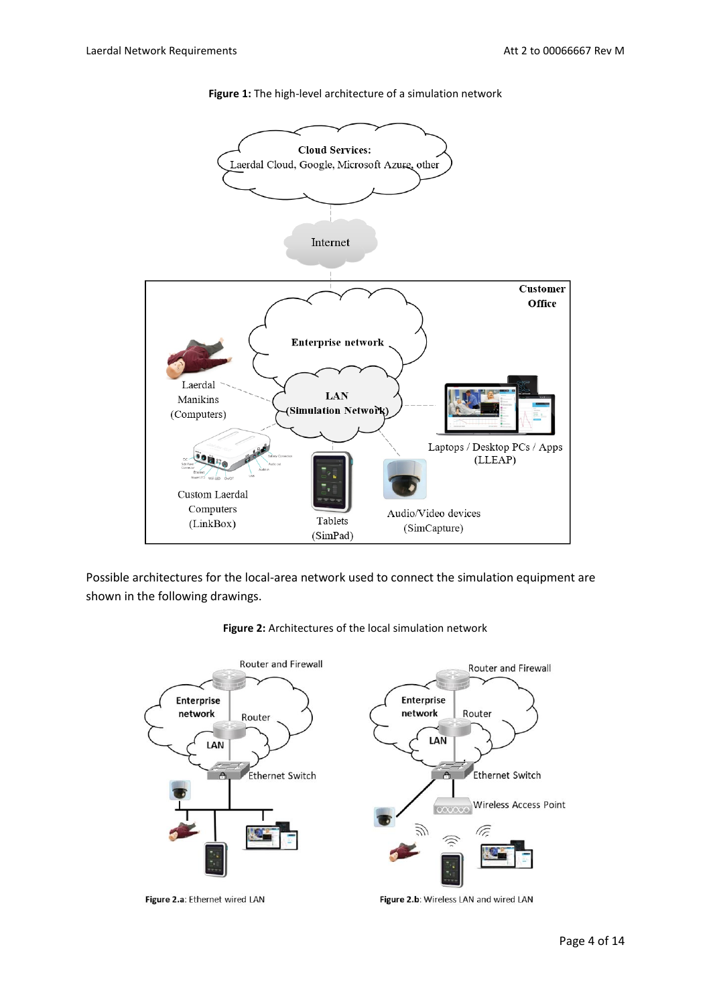

**Figure 1:** The high-level architecture of a simulation network

Possible architectures for the local-area network used to connect the simulation equipment are shown in the following drawings.



**Figure 2:** Architectures of the local simulation network

Page 4 of 14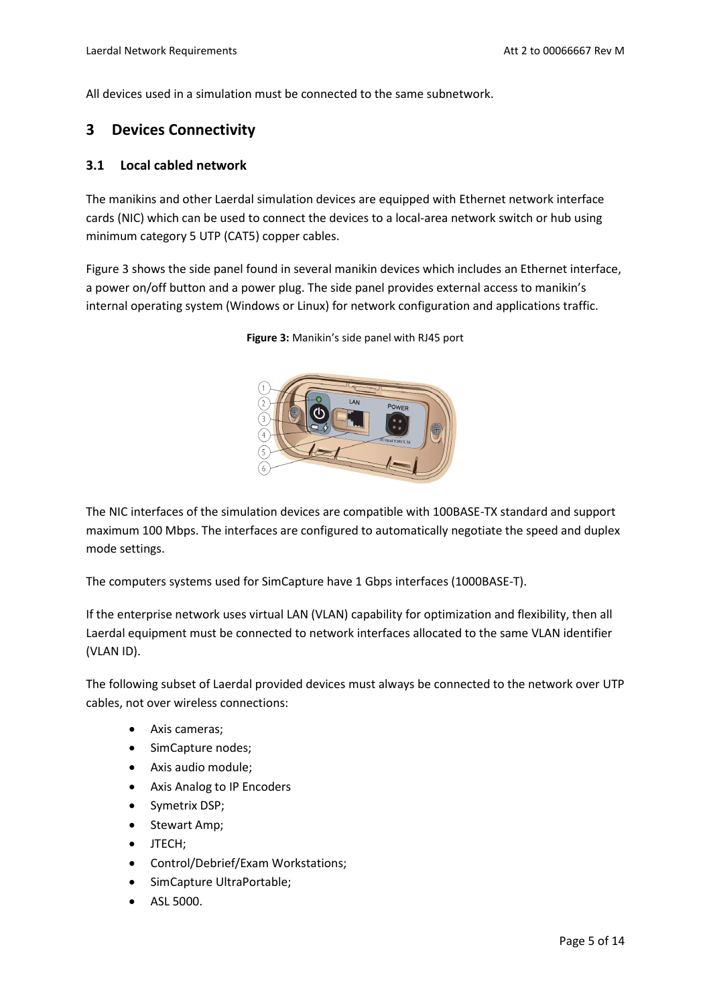All devices used in a simulation must be connected to the same subnetwork.

# <span id="page-4-0"></span>**3 Devices Connectivity**

#### <span id="page-4-1"></span>**3.1 Local cabled network**

The manikins and other Laerdal simulation devices are equipped with Ethernet network interface cards (NIC) which can be used to connect the devices to a local-area network switch or hub using minimum category 5 UTP (CAT5) copper cables.

Figure 3 shows the side panel found in several manikin devices which includes an Ethernet interface, a power on/off button and a power plug. The side panel provides external access to manikin's internal operating system (Windows or Linux) for network configuration and applications traffic.



**Figure 3:** Manikin's side panel with RJ45 port

The NIC interfaces of the simulation devices are compatible with 100BASE-TX standard and support maximum 100 Mbps. The interfaces are configured to automatically negotiate the speed and duplex mode settings.

The computers systems used for SimCapture have 1 Gbps interfaces (1000BASE-T).

If the enterprise network uses virtual LAN (VLAN) capability for optimization and flexibility, then all Laerdal equipment must be connected to network interfaces allocated to the same VLAN identifier (VLAN ID).

The following subset of Laerdal provided devices must always be connected to the network over UTP cables, not over wireless connections:

- Axis cameras;
- SimCapture nodes;
- Axis audio module;
- Axis Analog to IP Encoders
- Symetrix DSP;
- Stewart Amp;
- JTECH;
- Control/Debrief/Exam Workstations;
- SimCapture UltraPortable;
- ASL 5000.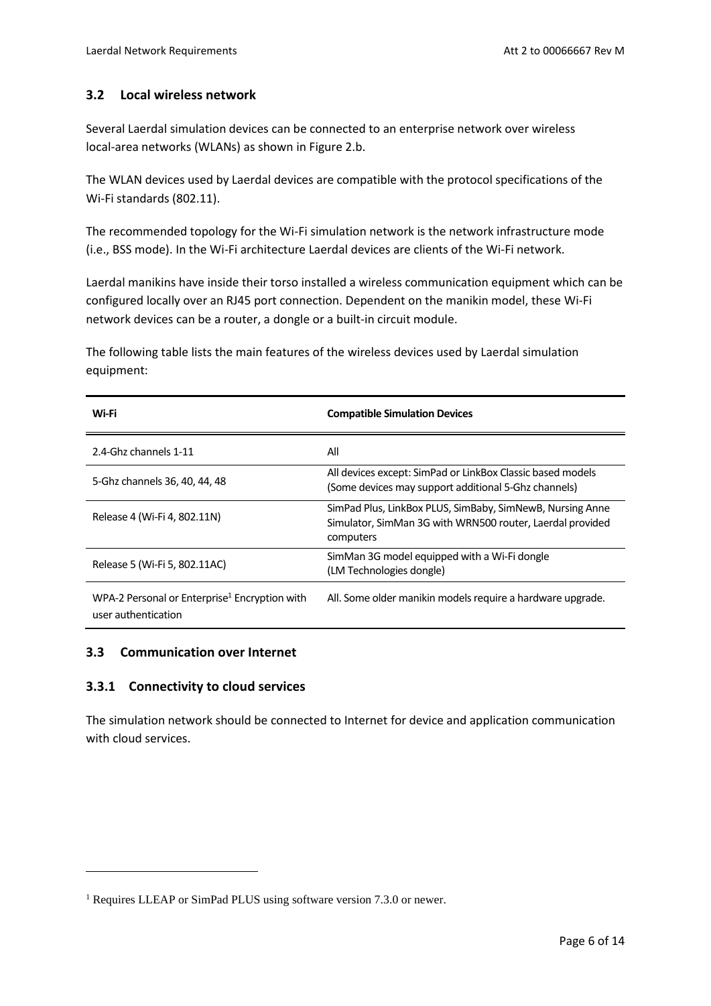#### <span id="page-5-0"></span>**3.2 Local wireless network**

Several Laerdal simulation devices can be connected to an enterprise network over wireless local-area networks (WLANs) as shown in Figure 2.b.

The WLAN devices used by Laerdal devices are compatible with the protocol specifications of the Wi-Fi standards (802.11).

The recommended topology for the Wi-Fi simulation network is the network infrastructure mode (i.e., BSS mode). In the Wi-Fi architecture Laerdal devices are clients of the Wi-Fi network.

Laerdal manikins have inside their torso installed a wireless communication equipment which can be configured locally over an RJ45 port connection. Dependent on the manikin model, these Wi-Fi network devices can be a router, a dongle or a built-in circuit module.

The following table lists the main features of the wireless devices used by Laerdal simulation equipment:

| Wi-Fi                                                                            | <b>Compatible Simulation Devices</b>                                                                                                |
|----------------------------------------------------------------------------------|-------------------------------------------------------------------------------------------------------------------------------------|
| 2.4-Ghz channels 1-11                                                            | All                                                                                                                                 |
| 5-Ghz channels 36, 40, 44, 48                                                    | All devices except: SimPad or LinkBox Classic based models<br>(Some devices may support additional 5-Ghz channels)                  |
| Release 4 (Wi-Fi 4, 802.11N)                                                     | SimPad Plus, LinkBox PLUS, SimBaby, SimNewB, Nursing Anne<br>Simulator, SimMan 3G with WRN500 router, Laerdal provided<br>computers |
| Release 5 (Wi-Fi 5, 802.11AC)                                                    | SimMan 3G model equipped with a Wi-Fi dongle<br>(LM Technologies dongle)                                                            |
| WPA-2 Personal or Enterprise <sup>1</sup> Encryption with<br>user authentication | All. Some older manikin models require a hardware upgrade.                                                                          |

#### <span id="page-5-1"></span>**3.3 Communication over Internet**

#### <span id="page-5-2"></span>**3.3.1 Connectivity to cloud services**

The simulation network should be connected to Internet for device and application communication with cloud services.

<sup>&</sup>lt;sup>1</sup> Requires LLEAP or SimPad PLUS using software version 7.3.0 or newer.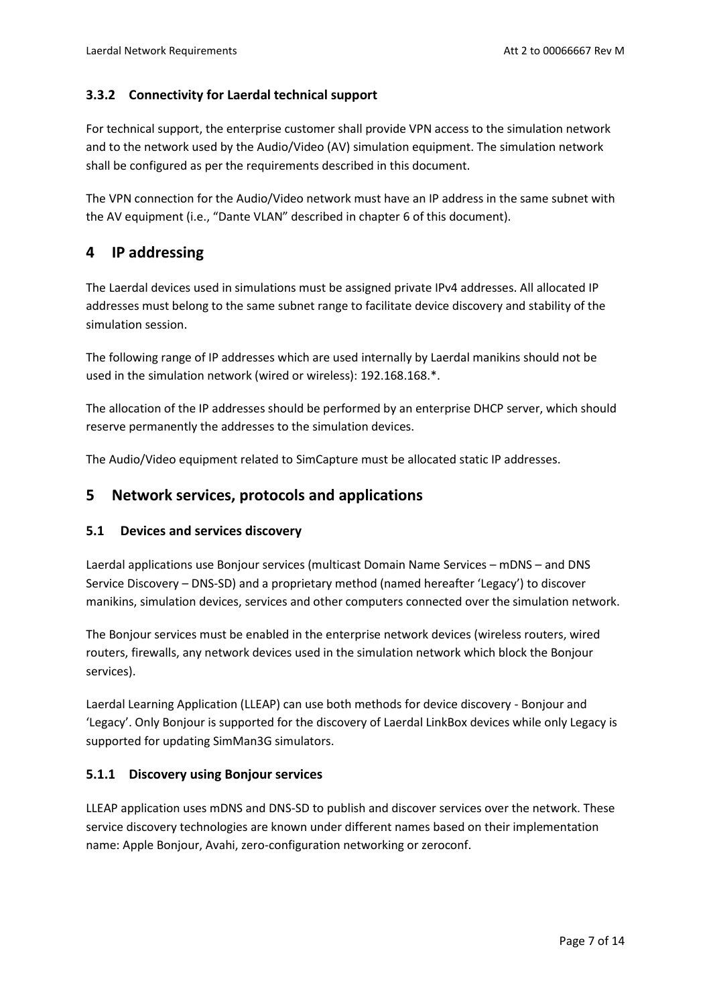## <span id="page-6-0"></span>**3.3.2 Connectivity for Laerdal technical support**

For technical support, the enterprise customer shall provide VPN access to the simulation network and to the network used by the Audio/Video (AV) simulation equipment. The simulation network shall be configured as per the requirements described in this document.

The VPN connection for the Audio/Video network must have an IP address in the same subnet with the AV equipment (i.e., "Dante VLAN" described in chapter [6](#page-12-0) of this document).

# <span id="page-6-1"></span>**4 IP addressing**

The Laerdal devices used in simulations must be assigned private IPv4 addresses. All allocated IP addresses must belong to the same subnet range to facilitate device discovery and stability of the simulation session.

The following range of IP addresses which are used internally by Laerdal manikins should not be used in the simulation network (wired or wireless): 192.168.168.\*.

The allocation of the IP addresses should be performed by an enterprise DHCP server, which should reserve permanently the addresses to the simulation devices.

The Audio/Video equipment related to SimCapture must be allocated static IP addresses.

## <span id="page-6-2"></span>**5 Network services, protocols and applications**

#### <span id="page-6-3"></span>**5.1 Devices and services discovery**

Laerdal applications use Bonjour services (multicast Domain Name Services – mDNS – and DNS Service Discovery – DNS-SD) and a proprietary method (named hereafter 'Legacy') to discover manikins, simulation devices, services and other computers connected over the simulation network.

The Bonjour services must be enabled in the enterprise network devices (wireless routers, wired routers, firewalls, any network devices used in the simulation network which block the Bonjour services).

Laerdal Learning Application (LLEAP) can use both methods for device discovery - Bonjour and 'Legacy'. Only Bonjour is supported for the discovery of Laerdal LinkBox devices while only Legacy is supported for updating SimMan3G simulators.

#### <span id="page-6-4"></span>**5.1.1 Discovery using Bonjour services**

LLEAP application uses mDNS and DNS-SD to publish and discover services over the network. These service discovery technologies are known under different names based on their implementation name: Apple Bonjour, Avahi, zero-configuration networking or zeroconf.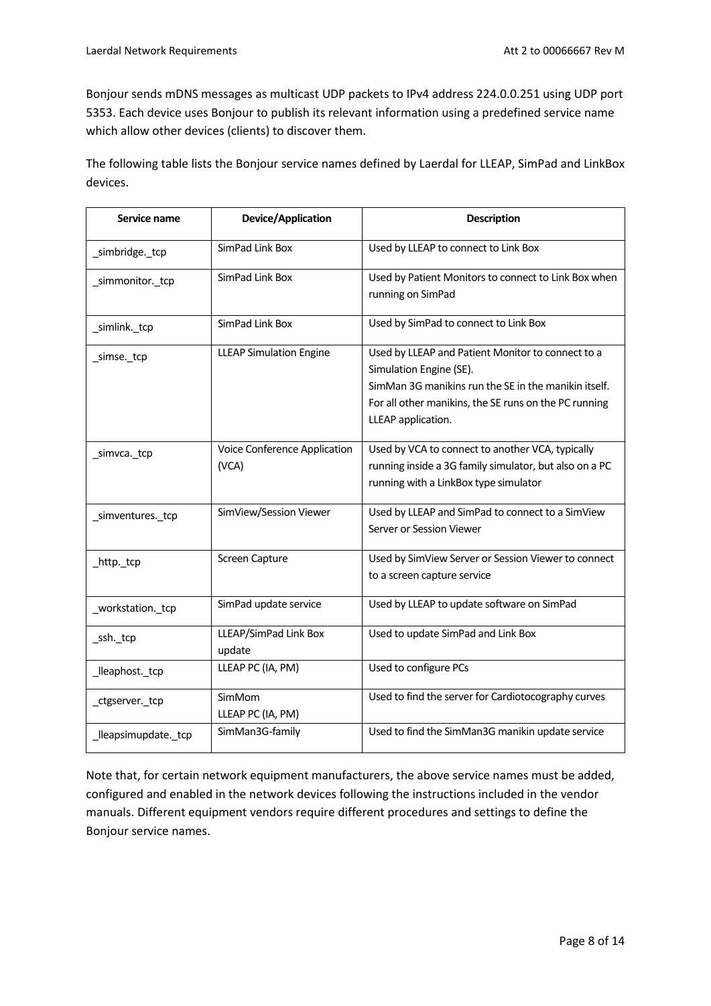Bonjour sends mDNS messages as multicast UDP packets to IPv4 address 224.0.0.251 using UDP port 5353. Each device uses Bonjour to publish its relevant information using a predefined service name which allow other devices (clients) to discover them.

The following table lists the Bonjour service names defined by Laerdal for LLEAP, SimPad and LinkBox devices.

| <b>Device/Application</b><br>Service name     |                                       | <b>Description</b>                                                                                                                                                                                                  |  |
|-----------------------------------------------|---------------------------------------|---------------------------------------------------------------------------------------------------------------------------------------------------------------------------------------------------------------------|--|
| SimPad Link Box<br>_simbridge._tcp            |                                       | Used by LLEAP to connect to Link Box                                                                                                                                                                                |  |
| SimPad Link Box<br>_simmonitor._tcp           |                                       | Used by Patient Monitors to connect to Link Box when<br>running on SimPad                                                                                                                                           |  |
| _simlink._tcp                                 | SimPad Link Box                       | Used by SimPad to connect to Link Box                                                                                                                                                                               |  |
| <b>LLEAP Simulation Engine</b><br>_simse._tcp |                                       | Used by LLEAP and Patient Monitor to connect to a<br>Simulation Engine (SE).<br>SimMan 3G manikins run the SE in the manikin itself.<br>For all other manikins, the SE runs on the PC running<br>LLEAP application. |  |
| _simvca._tcp                                  | Voice Conference Application<br>(VCA) | Used by VCA to connect to another VCA, typically<br>running inside a 3G family simulator, but also on a PC<br>running with a LinkBox type simulator                                                                 |  |
| _simventures._tcp                             | SimView/Session Viewer                | Used by LLEAP and SimPad to connect to a SimView<br>Server or Session Viewer                                                                                                                                        |  |
| _http._tcp                                    | Screen Capture                        | Used by SimView Server or Session Viewer to connect<br>to a screen capture service                                                                                                                                  |  |
| _workstation._tcp                             | SimPad update service                 | Used by LLEAP to update software on SimPad                                                                                                                                                                          |  |
| _ssh._tcp                                     | LLEAP/SimPad Link Box<br>update       | Used to update SimPad and Link Box                                                                                                                                                                                  |  |
| lleaphost. tcp                                | LLEAP PC (IA, PM)                     | Used to configure PCs                                                                                                                                                                                               |  |
| _ctgserver._tcp                               | SimMom<br>LLEAP PC (IA, PM)           | Used to find the server for Cardiotocography curves                                                                                                                                                                 |  |
| _lleapsimupdate._tcp                          | SimMan3G-family                       | Used to find the SimMan3G manikin update service                                                                                                                                                                    |  |

Note that, for certain network equipment manufacturers, the above service names must be added, configured and enabled in the network devices following the instructions included in the vendor manuals. Different equipment vendors require different procedures and settings to define the Bonjour service names.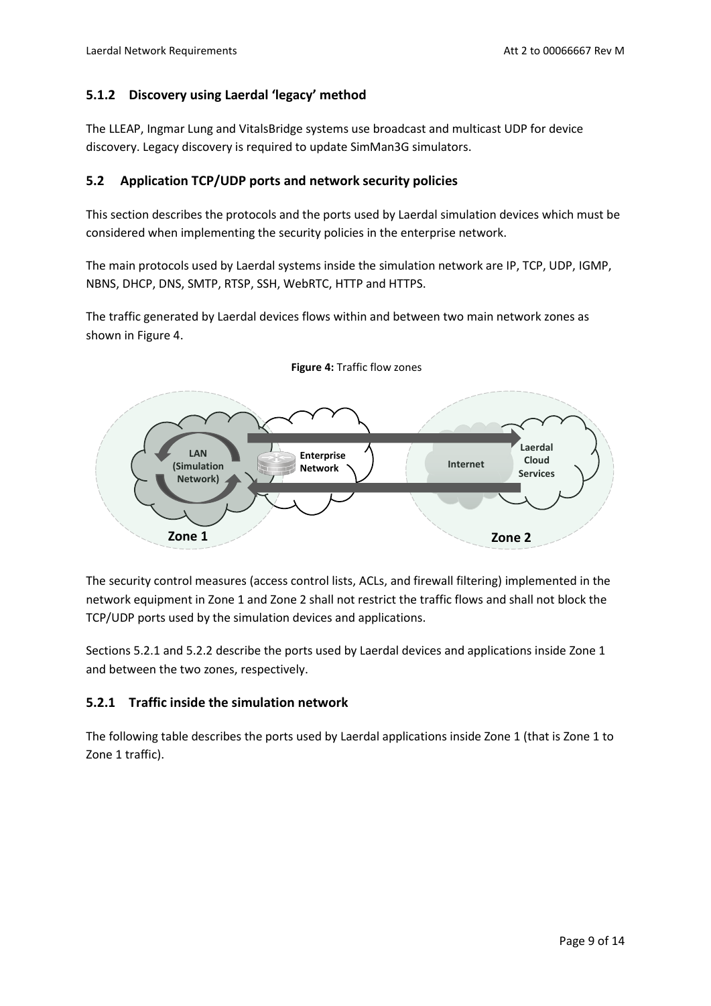## <span id="page-8-0"></span>**5.1.2 Discovery using Laerdal 'legacy' method**

The LLEAP, Ingmar Lung and VitalsBridge systems use broadcast and multicast UDP for device discovery. Legacy discovery is required to update SimMan3G simulators.

#### <span id="page-8-1"></span>**5.2 Application TCP/UDP ports and network security policies**

This section describes the protocols and the ports used by Laerdal simulation devices which must be considered when implementing the security policies in the enterprise network.

The main protocols used by Laerdal systems inside the simulation network are IP, TCP, UDP, IGMP, NBNS, DHCP, DNS, SMTP, RTSP, SSH, WebRTC, HTTP and HTTPS.

The traffic generated by Laerdal devices flows within and between two main network zones as shown in Figure 4.



**Figure 4:** Traffic flow zones

The security control measures (access control lists, ACLs, and firewall filtering) implemented in the network equipment in Zone 1 and Zone 2 shall not restrict the traffic flows and shall not block the TCP/UDP ports used by the simulation devices and applications.

Sections [5.2.1](#page-8-2) and [5.2.2](#page-10-0) describe the ports used by Laerdal devices and applications inside Zone 1 and between the two zones, respectively.

## <span id="page-8-2"></span>**5.2.1 Traffic inside the simulation network**

The following table describes the ports used by Laerdal applications inside Zone 1 (that is Zone 1 to Zone 1 traffic).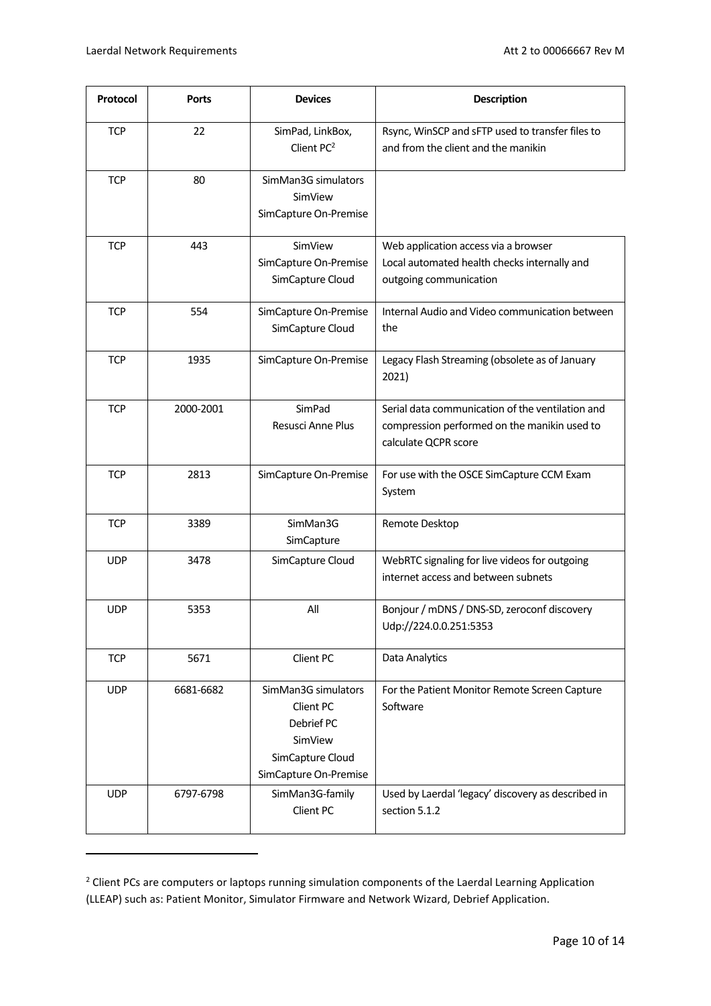| Protocol   | <b>Ports</b> | <b>Devices</b>                                                                                         | <b>Description</b>                                                                                                       |
|------------|--------------|--------------------------------------------------------------------------------------------------------|--------------------------------------------------------------------------------------------------------------------------|
| <b>TCP</b> | 22           | SimPad, LinkBox,<br>Client PC <sup>2</sup>                                                             | Rsync, WinSCP and sFTP used to transfer files to<br>and from the client and the manikin                                  |
| <b>TCP</b> | 80           | SimMan3G simulators<br>SimView<br>SimCapture On-Premise                                                |                                                                                                                          |
| <b>TCP</b> | 443          | SimView<br>SimCapture On-Premise<br>SimCapture Cloud                                                   | Web application access via a browser<br>Local automated health checks internally and<br>outgoing communication           |
| <b>TCP</b> | 554          | SimCapture On-Premise<br>SimCapture Cloud                                                              | Internal Audio and Video communication between<br>the                                                                    |
| <b>TCP</b> | 1935         | SimCapture On-Premise                                                                                  | Legacy Flash Streaming (obsolete as of January<br>2021)                                                                  |
| <b>TCP</b> | 2000-2001    | SimPad<br>Resusci Anne Plus                                                                            | Serial data communication of the ventilation and<br>compression performed on the manikin used to<br>calculate QCPR score |
| <b>TCP</b> | 2813         | SimCapture On-Premise                                                                                  | For use with the OSCE SimCapture CCM Exam<br>System                                                                      |
| <b>TCP</b> | 3389         | SimMan3G<br>SimCapture                                                                                 | Remote Desktop                                                                                                           |
| <b>UDP</b> | 3478         | SimCapture Cloud                                                                                       | WebRTC signaling for live videos for outgoing<br>internet access and between subnets                                     |
| <b>UDP</b> | 5353         | All                                                                                                    | Bonjour / mDNS / DNS-SD, zeroconf discovery<br>Udp://224.0.0.251:5353                                                    |
| <b>TCP</b> | 5671         | Client PC                                                                                              | Data Analytics                                                                                                           |
| <b>UDP</b> | 6681-6682    | SimMan3G simulators<br>Client PC<br>Debrief PC<br>SimView<br>SimCapture Cloud<br>SimCapture On-Premise | For the Patient Monitor Remote Screen Capture<br>Software                                                                |
| <b>UDP</b> | 6797-6798    | SimMan3G-family<br>Client PC                                                                           | Used by Laerdal 'legacy' discovery as described in<br>section 5.1.2                                                      |

<sup>&</sup>lt;sup>2</sup> Client PCs are computers or laptops running simulation components of the Laerdal Learning Application (LLEAP) such as: Patient Monitor, Simulator Firmware and Network Wizard, Debrief Application.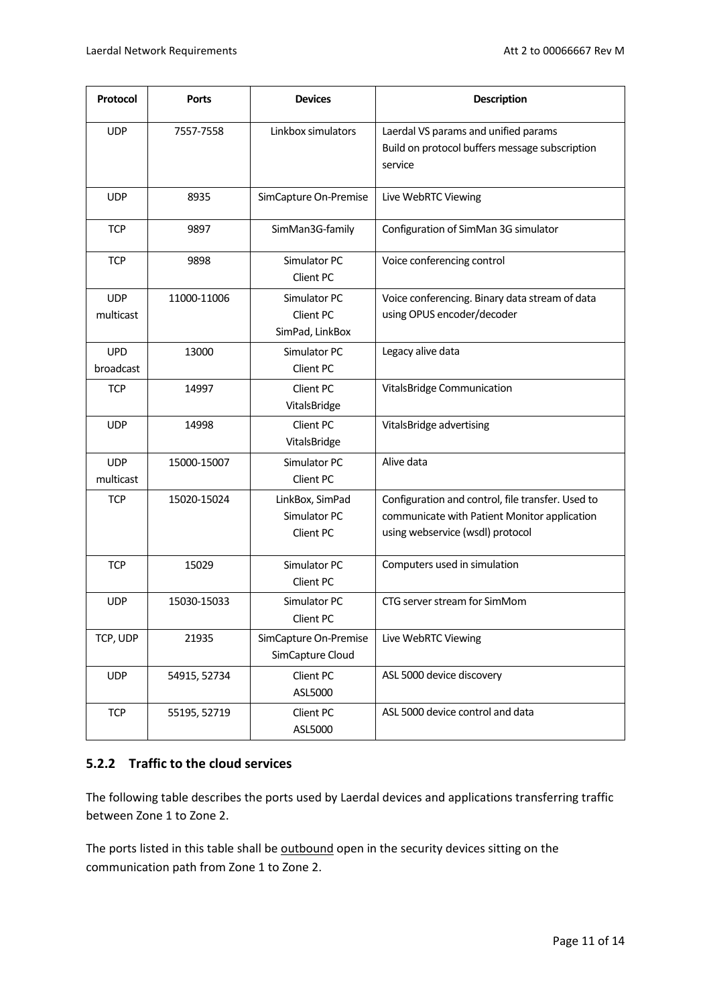| Protocol                | <b>Ports</b> | <b>Devices</b>                                                                                                               | <b>Description</b>                                                                                                                    |
|-------------------------|--------------|------------------------------------------------------------------------------------------------------------------------------|---------------------------------------------------------------------------------------------------------------------------------------|
| <b>UDP</b>              | 7557-7558    | Linkbox simulators                                                                                                           | Laerdal VS params and unified params<br>Build on protocol buffers message subscription<br>service                                     |
| <b>UDP</b>              | 8935         | SimCapture On-Premise                                                                                                        | Live WebRTC Viewing                                                                                                                   |
| <b>TCP</b>              | 9897         | SimMan3G-family                                                                                                              | Configuration of SimMan 3G simulator                                                                                                  |
| <b>TCP</b>              | 9898         | Simulator PC<br>Client PC                                                                                                    | Voice conferencing control                                                                                                            |
| <b>UDP</b><br>multicast | 11000-11006  | Simulator PC<br>Voice conferencing. Binary data stream of data<br>Client PC<br>using OPUS encoder/decoder<br>SimPad, LinkBox |                                                                                                                                       |
| <b>UPD</b><br>broadcast | 13000        | Simulator PC<br>Client PC                                                                                                    | Legacy alive data                                                                                                                     |
| <b>TCP</b>              | 14997        | Client PC<br>VitalsBridge                                                                                                    | VitalsBridge Communication                                                                                                            |
| <b>UDP</b>              | 14998        | Client PC<br>VitalsBridge                                                                                                    | VitalsBridge advertising                                                                                                              |
| <b>UDP</b><br>multicast | 15000-15007  | Simulator PC<br>Client PC                                                                                                    | Alive data                                                                                                                            |
| <b>TCP</b>              | 15020-15024  | LinkBox, SimPad<br>Simulator PC<br>Client PC                                                                                 | Configuration and control, file transfer. Used to<br>communicate with Patient Monitor application<br>using webservice (wsdl) protocol |
| <b>TCP</b>              | 15029        | Simulator PC<br>Client PC                                                                                                    | Computers used in simulation                                                                                                          |
| <b>UDP</b>              | 15030-15033  | Simulator PC<br>Client PC                                                                                                    | CTG server stream for SimMom                                                                                                          |
| TCP, UDP                | 21935        | SimCapture On-Premise<br>SimCapture Cloud                                                                                    | Live WebRTC Viewing                                                                                                                   |
| <b>UDP</b>              | 54915, 52734 | Client PC<br>ASL 5000 device discovery<br>ASL5000                                                                            |                                                                                                                                       |
| <b>TCP</b>              | 55195, 52719 | Client PC<br>ASL5000                                                                                                         | ASL 5000 device control and data                                                                                                      |

#### <span id="page-10-0"></span>**5.2.2 Traffic to the cloud services**

The following table describes the ports used by Laerdal devices and applications transferring traffic between Zone 1 to Zone 2.

The ports listed in this table shall be outbound open in the security devices sitting on the communication path from Zone 1 to Zone 2.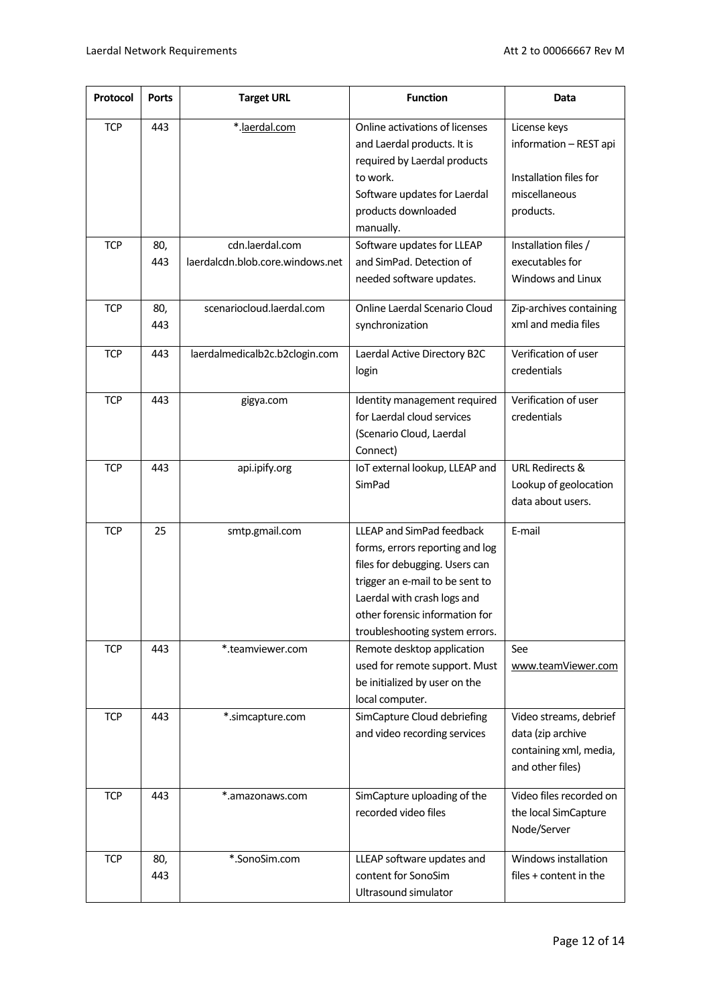| Protocol   | <b>Ports</b> | <b>Target URL</b>                | <b>Function</b>                                                                                                                                                                                                                      | Data                                                                                           |
|------------|--------------|----------------------------------|--------------------------------------------------------------------------------------------------------------------------------------------------------------------------------------------------------------------------------------|------------------------------------------------------------------------------------------------|
| <b>TCP</b> | 443          | *.laerdal.com                    | Online activations of licenses<br>and Laerdal products. It is<br>required by Laerdal products<br>to work.<br>Software updates for Laerdal<br>products downloaded<br>manually.                                                        | License keys<br>information - REST api<br>Installation files for<br>miscellaneous<br>products. |
| <b>TCP</b> | 80,          | cdn.laerdal.com                  | Software updates for LLEAP                                                                                                                                                                                                           | Installation files /                                                                           |
|            | 443          | laerdalcdn.blob.core.windows.net | and SimPad. Detection of<br>needed software updates.                                                                                                                                                                                 | executables for<br>Windows and Linux                                                           |
| <b>TCP</b> | 80,<br>443   | scenariocloud.laerdal.com        | Online Laerdal Scenario Cloud<br>synchronization                                                                                                                                                                                     | Zip-archives containing<br>xml and media files                                                 |
| <b>TCP</b> | 443          | laerdalmedicalb2c.b2clogin.com   | Laerdal Active Directory B2C<br>login                                                                                                                                                                                                | Verification of user<br>credentials                                                            |
| <b>TCP</b> | 443          | gigya.com                        | Identity management required<br>for Laerdal cloud services<br>(Scenario Cloud, Laerdal<br>Connect)                                                                                                                                   | Verification of user<br>credentials                                                            |
| <b>TCP</b> | 443          | api.ipify.org                    | IoT external lookup, LLEAP and<br>SimPad                                                                                                                                                                                             | <b>URL Redirects &amp;</b><br>Lookup of geolocation<br>data about users.                       |
| <b>TCP</b> | 25           | smtp.gmail.com                   | LLEAP and SimPad feedback<br>forms, errors reporting and log<br>files for debugging. Users can<br>trigger an e-mail to be sent to<br>Laerdal with crash logs and<br>other forensic information for<br>troubleshooting system errors. | E-mail                                                                                         |
| <b>TCP</b> | 443          | *.teamviewer.com                 | Remote desktop application<br>used for remote support. Must<br>be initialized by user on the<br>local computer.                                                                                                                      | See<br>www.teamViewer.com                                                                      |
| <b>TCP</b> | 443          | *.simcapture.com                 | SimCapture Cloud debriefing<br>and video recording services                                                                                                                                                                          | Video streams, debrief<br>data (zip archive<br>containing xml, media,<br>and other files)      |
| <b>TCP</b> | 443          | *.amazonaws.com                  | SimCapture uploading of the<br>recorded video files                                                                                                                                                                                  | Video files recorded on<br>the local SimCapture<br>Node/Server                                 |
| <b>TCP</b> | 80,<br>443   | *.SonoSim.com                    | LLEAP software updates and<br>content for SonoSim<br>Ultrasound simulator                                                                                                                                                            | Windows installation<br>files + content in the                                                 |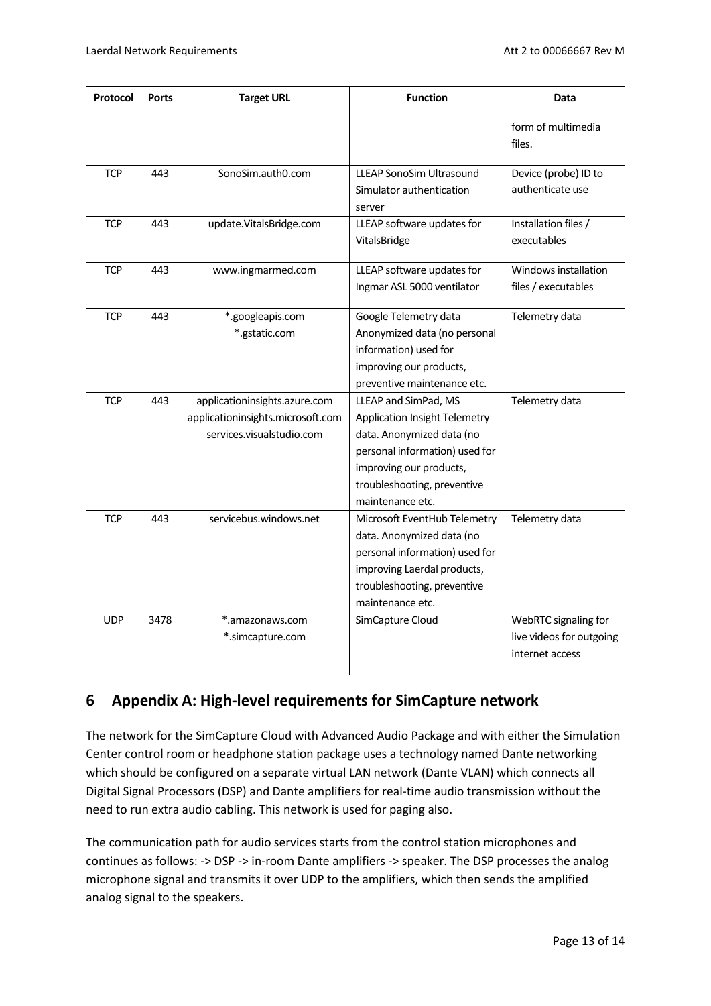| Protocol   | <b>Ports</b> | <b>Target URL</b>                                                                               | <b>Function</b>                                                                                                                                                                                           | <b>Data</b>                                                         |
|------------|--------------|-------------------------------------------------------------------------------------------------|-----------------------------------------------------------------------------------------------------------------------------------------------------------------------------------------------------------|---------------------------------------------------------------------|
|            |              |                                                                                                 |                                                                                                                                                                                                           | form of multimedia<br>files.                                        |
| <b>TCP</b> | 443          | SonoSim.auth0.com                                                                               | <b>LLEAP SonoSim Ultrasound</b><br>Simulator authentication<br>server                                                                                                                                     | Device (probe) ID to<br>authenticate use                            |
| <b>TCP</b> | 443          | LLEAP software updates for<br>update.VitalsBridge.com<br>VitalsBridge                           |                                                                                                                                                                                                           | Installation files /<br>executables                                 |
| <b>TCP</b> | 443          | www.ingmarmed.com                                                                               | LLEAP software updates for<br>Ingmar ASL 5000 ventilator                                                                                                                                                  | Windows installation<br>files / executables                         |
| <b>TCP</b> | 443          | *.googleapis.com<br>*.gstatic.com                                                               | Google Telemetry data<br>Anonymized data (no personal<br>information) used for<br>improving our products,<br>preventive maintenance etc.                                                                  | Telemetry data                                                      |
| <b>TCP</b> | 443          | applicationinsights.azure.com<br>applicationinsights.microsoft.com<br>services.visualstudio.com | LLEAP and SimPad, MS<br><b>Application Insight Telemetry</b><br>data. Anonymized data (no<br>personal information) used for<br>improving our products,<br>troubleshooting, preventive<br>maintenance etc. | Telemetry data                                                      |
| <b>TCP</b> | 443          | servicebus.windows.net                                                                          | Microsoft EventHub Telemetry<br>data. Anonymized data (no<br>personal information) used for<br>improving Laerdal products,<br>troubleshooting, preventive<br>maintenance etc.                             | Telemetry data                                                      |
| <b>UDP</b> | 3478         | *.amazonaws.com<br>*.simcapture.com                                                             | SimCapture Cloud                                                                                                                                                                                          | WebRTC signaling for<br>live videos for outgoing<br>internet access |

# <span id="page-12-0"></span>**6 Appendix A: High-level requirements for SimCapture network**

The network for the SimCapture Cloud with Advanced Audio Package and with either the Simulation Center control room or headphone station package uses a technology named Dante networking which should be configured on a separate virtual LAN network (Dante VLAN) which connects all Digital Signal Processors (DSP) and Dante amplifiers for real-time audio transmission without the need to run extra audio cabling. This network is used for paging also.

The communication path for audio services starts from the control station microphones and continues as follows: -> DSP -> in-room Dante amplifiers -> speaker. The DSP processes the analog microphone signal and transmits it over UDP to the amplifiers, which then sends the amplified analog signal to the speakers.